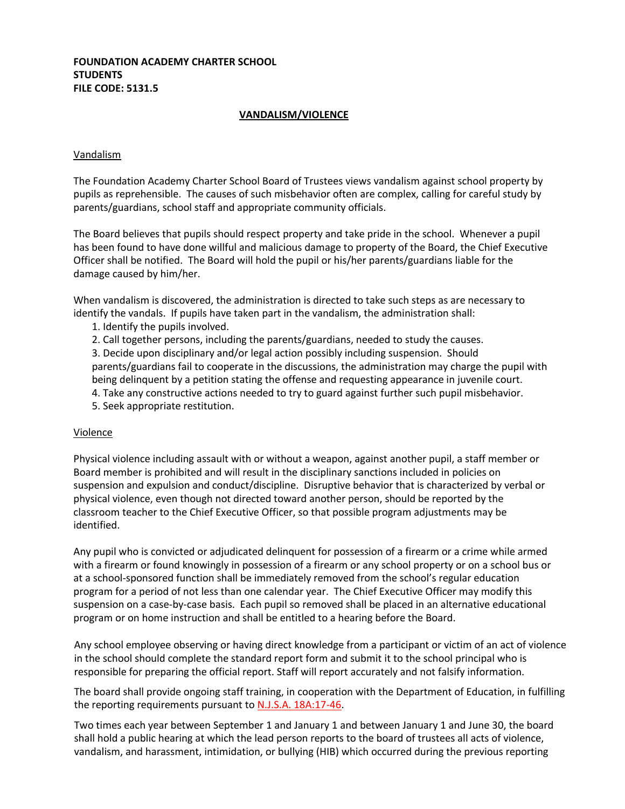## **FOUNDATION ACADEMY CHARTER SCHOOL STUDENTS FILE CODE: 5131.5**

## **VANDALISM/VIOLENCE**

### Vandalism

The Foundation Academy Charter School Board of Trustees views vandalism against school property by pupils as reprehensible. The causes of such misbehavior often are complex, calling for careful study by parents/guardians, school staff and appropriate community officials.

The Board believes that pupils should respect property and take pride in the school. Whenever a pupil has been found to have done willful and malicious damage to property of the Board, the Chief Executive Officer shall be notified. The Board will hold the pupil or his/her parents/guardians liable for the damage caused by him/her.

When vandalism is discovered, the administration is directed to take such steps as are necessary to identify the vandals. If pupils have taken part in the vandalism, the administration shall:

- 1. Identify the pupils involved.
- 2. Call together persons, including the parents/guardians, needed to study the causes.

3. Decide upon disciplinary and/or legal action possibly including suspension. Should parents/guardians fail to cooperate in the discussions, the administration may charge the pupil with being delinquent by a petition stating the offense and requesting appearance in juvenile court.

4. Take any constructive actions needed to try to guard against further such pupil misbehavior. 5. Seek appropriate restitution.

### Violence

Physical violence including assault with or without a weapon, against another pupil, a staff member or Board member is prohibited and will result in the disciplinary sanctions included in policies on suspension and expulsion and conduct/discipline. Disruptive behavior that is characterized by verbal or physical violence, even though not directed toward another person, should be reported by the classroom teacher to the Chief Executive Officer, so that possible program adjustments may be identified.

Any pupil who is convicted or adjudicated delinquent for possession of a firearm or a crime while armed with a firearm or found knowingly in possession of a firearm or any school property or on a school bus or at a school-sponsored function shall be immediately removed from the school's regular education program for a period of not less than one calendar year. The Chief Executive Officer may modify this suspension on a case-by-case basis. Each pupil so removed shall be placed in an alternative educational program or on home instruction and shall be entitled to a hearing before the Board.

Any school employee observing or having direct knowledge from a participant or victim of an act of violence in the school should complete the standard report form and submit it to the school principal who is responsible for preparing the official report. Staff will report accurately and not falsify information.

The board shall provide ongoing staff training, in cooperation with the Department of Education, in fulfilling the reporting requirements pursuant to **N.J.S.A. 18A:17-46**.

Two times each year between September 1 and January 1 and between January 1 and June 30, the board shall hold a public hearing at which the lead person reports to the board of trustees all acts of violence, vandalism, and harassment, intimidation, or bullying (HIB) which occurred during the previous reporting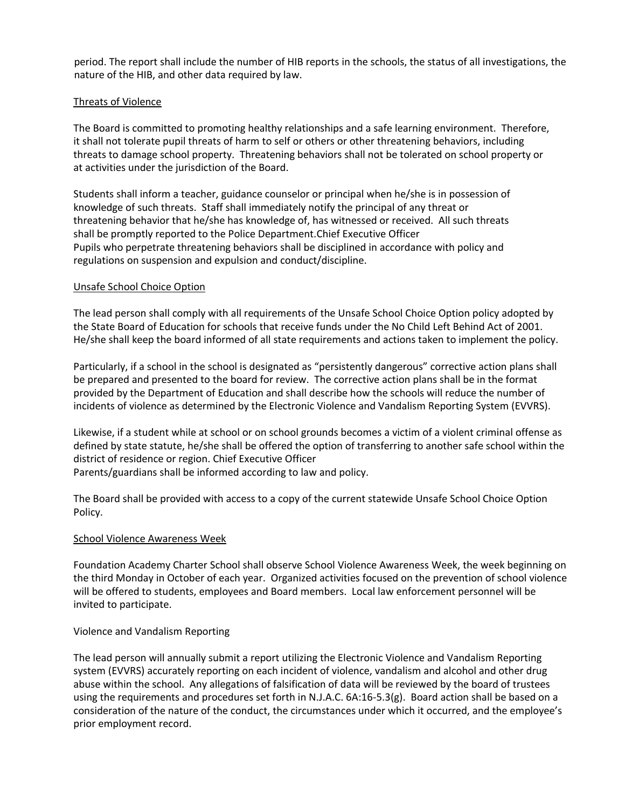period. The report shall include the number of HIB reports in the schools, the status of all investigations, the nature of the HIB, and other data required by law.

# Threats of Violence

The Board is committed to promoting healthy relationships and a safe learning environment. Therefore, it shall not tolerate pupil threats of harm to self or others or other threatening behaviors, including threats to damage school property. Threatening behaviors shall not be tolerated on school property or at activities under the jurisdiction of the Board.

Students shall inform a teacher, guidance counselor or principal when he/she is in possession of knowledge of such threats. Staff shall immediately notify the principal of any threat or threatening behavior that he/she has knowledge of, has witnessed or received. All such threats shall be promptly reported to the Police Department.Chief Executive Officer Pupils who perpetrate threatening behaviors shall be disciplined in accordance with policy and regulations on suspension and expulsion and conduct/discipline.

## Unsafe School Choice Option

The lead person shall comply with all requirements of the Unsafe School Choice Option policy adopted by the State Board of Education for schools that receive funds under the No Child Left Behind Act of 2001. He/she shall keep the board informed of all state requirements and actions taken to implement the policy.

Particularly, if a school in the school is designated as "persistently dangerous" corrective action plans shall be prepared and presented to the board for review. The corrective action plans shall be in the format provided by the Department of Education and shall describe how the schools will reduce the number of incidents of violence as determined by the Electronic Violence and Vandalism Reporting System (EVVRS).

Likewise, if a student while at school or on school grounds becomes a victim of a violent criminal offense as defined by state statute, he/she shall be offered the option of transferring to another safe school within the district of residence or region. Chief Executive Officer Parents/guardians shall be informed according to law and policy.

The Board shall be provided with access to a copy of the current statewide Unsafe School Choice Option Policy.

### School Violence Awareness Week

Foundation Academy Charter School shall observe School Violence Awareness Week, the week beginning on the third Monday in October of each year. Organized activities focused on the prevention of school violence will be offered to students, employees and Board members. Local law enforcement personnel will be invited to participate.

### Violence and Vandalism Reporting

The lead person will annually submit a report utilizing the Electronic Violence and Vandalism Reporting system (EVVRS) accurately reporting on each incident of violence, vandalism and alcohol and other drug abuse within the school. Any allegations of falsification of data will be reviewed by the board of trustees using the requirements and procedures set forth in N.J.A.C. 6A:16-5.3(g). Board action shall be based on a consideration of the nature of the conduct, the circumstances under which it occurred, and the employee's prior employment record.